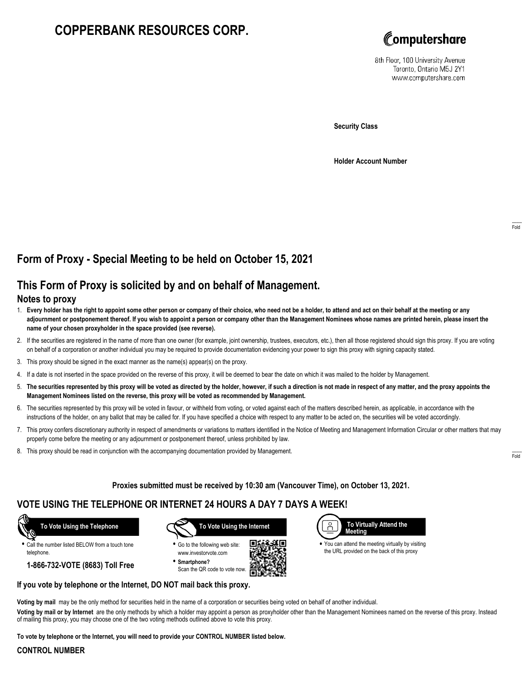# **COPPERBANK RESOURCES CORP.**



8th Floor, 100 University Avenue Toronto, Ontario M5J 2Y1 www.computershare.com

**Security Class**

**Holder Account Number**

## **Form of Proxy - Special Meeting to be held on October 15, 2021**

### **This Form of Proxy is solicited by and on behalf of Management.**

#### **Notes to proxy**

- 1. **Every holder has the right to appoint some other person or company of their choice, who need not be a holder, to attend and act on their behalf at the meeting or any adjournment or postponement thereof. If you wish to appoint a person or company other than the Management Nominees whose names are printed herein, please insert the name of your chosen proxyholder in the space provided (see reverse).**
- 2. If the securities are registered in the name of more than one owner (for example, joint ownership, trustees, executors, etc.), then all those registered should sign this proxy. If you are voting on behalf of a corporation or another individual you may be required to provide documentation evidencing your power to sign this proxy with signing capacity stated.
- 3. This proxy should be signed in the exact manner as the name(s) appear(s) on the proxy.
- 4. If a date is not inserted in the space provided on the reverse of this proxy, it will be deemed to bear the date on which it was mailed to the holder by Management.
- 5. **The securities represented by this proxy will be voted as directed by the holder, however, if such a direction is not made in respect of any matter, and the proxy appoints the Management Nominees listed on the reverse, this proxy will be voted as recommended by Management.**
- 6. The securities represented by this proxy will be voted in favour, or withheld from voting, or voted against each of the matters described herein, as applicable, in accordance with the instructions of the holder, on any ballot that may be called for. If you have specified a choice with respect to any matter to be acted on, the securities will be voted accordingly.
- 7. This proxy confers discretionary authority in respect of amendments or variations to matters identified in the Notice of Meeting and Management Information Circular or other matters that may properly come before the meeting or any adjournment or postponement thereof, unless prohibited by law.
- 8. This proxy should be read in conjunction with the accompanying documentation provided by Management.

**Proxies submitted must be received by 10:30 am (Vancouver Time), on October 13, 2021.**

ान

### **VOTE USING THE TELEPHONE OR INTERNET 24 HOURS A DAY 7 DAYS A WEEK!**

 **To Vote Using the Telephone**

**•** Call the number listed BELOW from a touch tone telephone.

**1-866-732-VOTE (8683) Toll Free**



**•** Go to the following web site: www.investorvote.com **• Smartphone?**

Scan the QR code to vote now.



**•** You can attend the meeting virtually by visiting the URL provided on the back of this proxy

#### **If you vote by telephone or the Internet, DO NOT mail back this proxy.**

**Voting by mail** may be the only method for securities held in the name of a corporation or securities being voted on behalf of another individual.

**Voting by mail or by Internet** are the only methods by which a holder may appoint a person as proxyholder other than the Management Nominees named on the reverse of this proxy. Instead of mailing this proxy, you may choose one of the two voting methods outlined above to vote this proxy.

**To vote by telephone or the Internet, you will need to provide your CONTROL NUMBER listed below.**

### **CONTROL NUMBER**